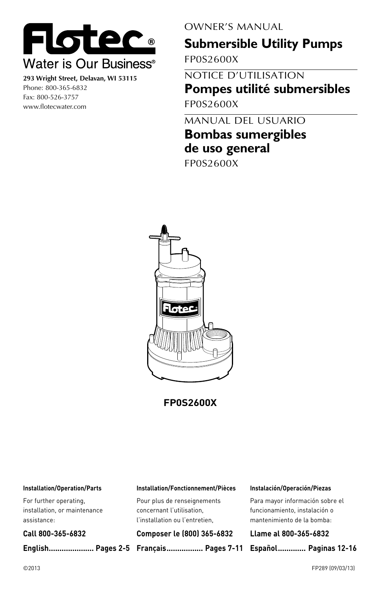

**293 Wright Street, Delavan, WI 53115** Phone: 800-365-6832 Fax: 800-526-3757 www.flotecwater.com

OWNER'S MANUAL

# **Submersible Utility Pumps**

FP0S2600X

NOTICE D'UTILISATION **Pompes utilité submersibles** FP0S2600X

MANUAL DEL USUARIO

## **Bombas sumergibles de uso general**

FP0S2600X



**FP0S2600X**

#### **Installation/Operation/Parts**

For further operating, installation, or maintenance assistance:

#### **Call 800-365-6832**

**English..................... Pages 2-5 Français................. Pages 7-11 Español............. Paginas 12-16**

#### **Installation/Fonctionnement/Pièces**

Pour plus de renseignements concernant l'utilisation, l'installation ou l'entretien,

#### **Composer le (800) 365-6832**

#### **Instalación/Operación/Piezas**

Para mayor información sobre el funcionamiento, instalación o mantenimiento de la bomba:

**Llame al 800-365-6832**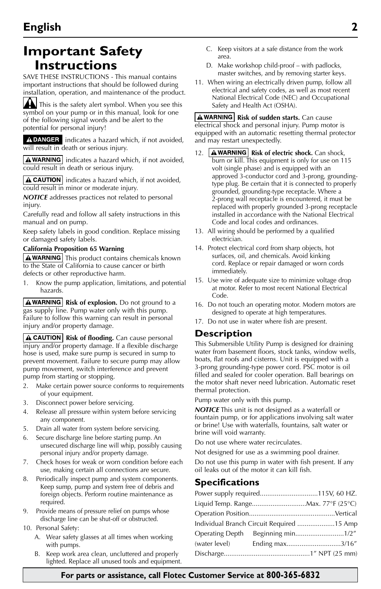## **Important Safety Instructions**

SAVE THESE INSTRUCTIONS - This manual contains important instructions that should be followed during installation, operation, and maintenance of the product.

This is the safety alert symbol. When you see this symbol on your pump or in this manual, look for one of the following signal words and be alert to the potential for personal injury!

A DANGER indicates a hazard which, if not avoided, will result in death or serious injury.

 $\mathbf{A}$  WARNING indicates a hazard which, if not avoided, could result in death or serious injury.

 $\Delta$  CAUTION indicates a hazard which, if not avoided, could result in minor or moderate injury.

*NOTICE* addresses practices not related to personal injury.

Carefully read and follow all safety instructions in this manual and on pump.

Keep safety labels in good condition. Replace missing or damaged safety labels.

#### **California Proposition 65 Warning**

A WARNING This product contains chemicals known to the State of California to cause cancer or birth defects or other reproductive harm.

1. Know the pump application, limitations, and potential hazards.

**A WARNING** Risk of explosion. Do not ground to a gas supply line. Pump water only with this pump. Failure to follow this warning can result in personal injury and/or property damage.

**A CAUTION** Risk of flooding. Can cause personal injury and/or property damage. If a flexible discharge hose is used, make sure pump is secured in sump to prevent movement. Failure to secure pump may allow pump movement, switch interference and prevent pump from starting or stopping.

- 2. Make certain power source conforms to requirements of your equipment.
- 3. Disconnect power before servicing.
- 4. Release all pressure within system before servicing any component.
- 5. Drain all water from system before servicing.
- 6. Secure discharge line before starting pump. An unsecured discharge line will whip, possibly causing personal injury and/or property damage.
- 7. Check hoses for weak or worn condition before each use, making certain all connections are secure.
- 8. Periodically inspect pump and system components. Keep sump, pump and system free of debris and foreign objects. Perform routine maintenance as required.
- 9. Provide means of pressure relief on pumps whose discharge line can be shut-off or obstructed.
- 10. Personal Safety:
	- A. Wear safety glasses at all times when working with pumps.
	- B. Keep work area clean, uncluttered and properly lighted. Replace all unused tools and equipment.
- C. Keep visitors at a safe distance from the work area.
- D. Make workshop child-proof with padlocks, master switches, and by removing starter keys.
- 11. When wiring an electrically driven pump, follow all electrical and safety codes, as well as most recent National Electrical Code (NEC) and Occupational Safety and Health Act (OSHA).

**A WARNING** Risk of sudden starts. Can cause electrical shock and personal injury. Pump motor is equipped with an automatic resetting thermal protector and may restart unexpectedly.

- 12. **A WARNING** Risk of electric shock. Can shock, burn or kill. This equipment is only for use on 115 volt (single phase) and is equipped with an approved 3-conductor cord and 3-prong, groundingtype plug. Be certain that it is connected to properly grounded, grounding-type receptacle. Where a 2-prong wall receptacle is encountered, it must be replaced with properly grounded 3-prong receptacle installed in accordance with the National Electrical Code and local codes and ordinances.
- 13. All wiring should be performed by a qualified electrician.
- 14. Protect electrical cord from sharp objects, hot surfaces, oil, and chemicals. Avoid kinking cord. Replace or repair damaged or worn cords immediately.
- 15. Use wire of adequate size to minimize voltage drop at motor. Refer to most recent National Electrical Code.
- 16. Do not touch an operating motor. Modern motors are designed to operate at high temperatures.
- 17. Do not use in water where fish are present.

### **Description**

This Submersible Utility Pump is designed for draining water from basement floors, stock tanks, window wells, boats, flat roofs and cisterns. Unit is equipped with a 3-prong grounding-type power cord. PSC motor is oil filled and sealed for cooler operation. Ball bearings on the motor shaft never need lubrication. Automatic reset thermal protection.

Pump water only with this pump.

*NOTICE* This unit is not designed as a waterfall or fountain pump, or for applications involving salt water or brine! Use with waterfalls, fountains, salt water or brine will void warranty.

Do not use where water recirculates.

Not designed for use as a swimming pool drainer. Do not use this pump in water with fish present. If any oil leaks out of the motor it can kill fish.

## **Specifications**

| Power supply required115V, 60 HZ.         |  |
|-------------------------------------------|--|
|                                           |  |
|                                           |  |
| Individual Branch Circuit Required 15 Amp |  |
|                                           |  |
|                                           |  |
|                                           |  |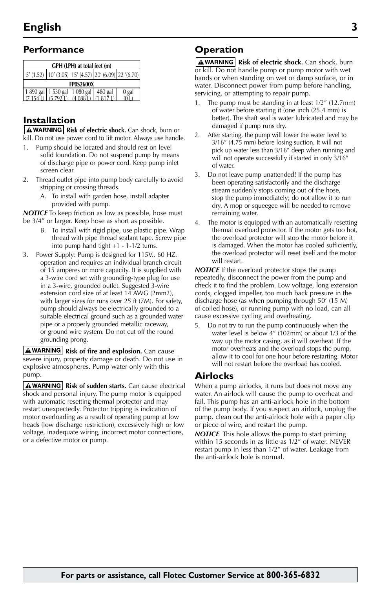## **Performance**

| GPH (LPH) at total feet (m)                            |  |  |  |       |  |  |
|--------------------------------------------------------|--|--|--|-------|--|--|
| $5'(1.52)$ 10' (3.05) 15' (4.57) 20' (6.09) 22' (6.70) |  |  |  |       |  |  |
| <b>FP0S2600X</b>                                       |  |  |  |       |  |  |
| 1 890 gal 1 530 gal 1 080 gal 480 gal                  |  |  |  | 0 gal |  |  |
|                                                        |  |  |  |       |  |  |

## **Installation**

**A WARNING** Risk of electric shock. Can shock, burn or kill. Do not use power cord to lift motor. Always use handle.

- Pump should be located and should rest on level solid foundation. Do not suspend pump by means of discharge pipe or power cord. Keep pump inlet screen clear.
- 2. Thread outlet pipe into pump body carefully to avoid stripping or crossing threads.
	- A. To install with garden hose, install adapter provided with pump.

*NOTICE* To keep friction as low as possible, hose must be 3/4" or larger. Keep hose as short as possible.

- B. To install with rigid pipe, use plastic pipe. Wrap thread with pipe thread sealant tape. Screw pipe into pump hand tight +1 - 1-1/2 turns.
- 3. Power Supply: Pump is designed for 115V., 60 HZ. operation and requires an individual branch circuit of 15 amperes or more capacity. It is supplied with a 3-wire cord set with grounding-type plug for use in a 3-wire, grounded outlet. Suggested 3-wire extension cord size of at least 14 AWG (2mm2), with larger sizes for runs over 25 ft (7M). For safety, pump should always be electrically grounded to a suitable electrical ground such as a grounded water pipe or a properly grounded metallic raceway, or ground wire system. Do not cut off the round grounding prong.

**A WARNING** Risk of fire and explosion. Can cause severe injury, property damage or death. Do not use in explosive atmospheres. Pump water only with this pump.

**A** WARNING | Risk of sudden starts. Can cause electrical shock and personal injury. The pump motor is equipped with automatic resetting thermal protector and may restart unexpectedly. Protector tripping is indication of motor overloading as a result of operating pump at low heads (low discharge restriction), excessively high or low voltage, inadequate wiring, incorrect motor connections, or a defective motor or pump.

## **Operation**

**AWARNING** Risk of electric shock. Can shock, burn or kill. Do not handle pump or pump motor with wet hands or when standing on wet or damp surface, or in water. Disconnect power from pump before handling, servicing, or attempting to repair pump.

- 1. The pump must be standing in at least 1/2" (12.7mm) of water before starting it (one inch (25.4 mm) is better). The shaft seal is water lubricated and may be damaged if pump runs dry.
- 2. After starting, the pump will lower the water level to 3/16" (4.75 mm) before losing suction. It will not pick up water less than 3/16" deep when running and will not operate successfully if started in only 3/16" of water.
- 3. Do not leave pump unattended! If the pump has been operating satisfactorily and the discharge stream suddenly stops coming out of the hose, stop the pump immediately; do not allow it to run dry. A mop or squeegee will be needed to remove remaining water.
- 4. The motor is equipped with an automatically resetting thermal overload protector. If the motor gets too hot, the overload protector will stop the motor before it is damaged. When the motor has cooled sufficiently, the overload protector will reset itself and the motor will restart.

*NOTICE* If the overload protector stops the pump repeatedly, disconnect the power from the pump and check it to find the problem. Low voltage, long extension cords, clogged impeller, too much back pressure in the discharge hose (as when pumping through 50' (15 M) of coiled hose), or running pump with no load, can all cause excessive cycling and overheating.

5. Do not try to run the pump continuously when the water level is below 4" (102mm) or about 1/3 of the way up the motor casing, as it will overheat. If the motor overheats and the overload stops the pump, allow it to cool for one hour before restarting. Motor will not restart before the overload has cooled.

## **Airlocks**

When a pump airlocks, it runs but does not move any water. An airlock will cause the pump to overheat and fail. This pump has an anti-airlock hole in the bottom of the pump body. If you suspect an airlock, unplug the pump, clean out the anti-airlock hole with a paper clip or piece of wire, and restart the pump.

*NOTICE* This hole allows the pump to start priming within 15 seconds in as little as 1/2" of water. NEVER restart pump in less than 1/2" of water. Leakage from the anti-airlock hole is normal.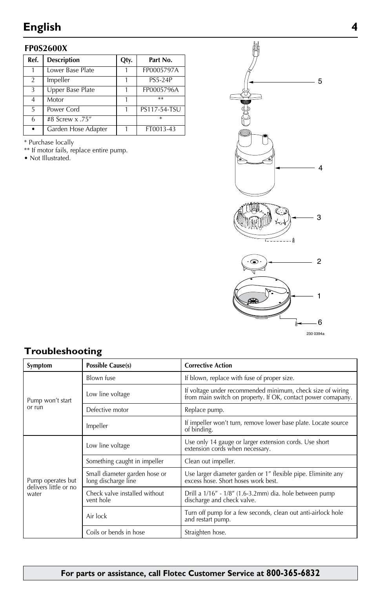### **FP0S2600X**

| Ref.           | <b>Description</b>  | Qty. | Part No.       |
|----------------|---------------------|------|----------------|
|                | Lower Base Plate    |      | FP0005797A     |
| $\mathfrak{D}$ | Impeller            |      | <b>PS5-24P</b> |
| $\mathbf{3}$   | Upper Base Plate    |      | FP0005796A     |
| $\overline{4}$ | Motor               |      | $**$           |
| 5              | Power Cord          |      | PS117-54-TSU   |
| 6              | #8 Screw x .75"     |      | $\ast$         |
|                | Garden Hose Adapter |      | FT0013-43      |

\* Purchase locally

\*\* If motor fails, replace entire pump.

• Not Illustrated.



## **Troubleshooting**

| Symptom                        | Possible Cause(s)                                    | <b>Corrective Action</b>                                                                                                   |  |  |
|--------------------------------|------------------------------------------------------|----------------------------------------------------------------------------------------------------------------------------|--|--|
|                                | Blown fuse                                           | If blown, replace with fuse of proper size.                                                                                |  |  |
| Pump won't start               | Low line voltage                                     | If voltage under recommended minimum, check size of wiring<br>from main switch on property. If OK, contact power comapany. |  |  |
| or run                         | Defective motor                                      | Replace pump.                                                                                                              |  |  |
|                                | Impeller                                             | If impeller won't turn, remove lower base plate. Locate source<br>of binding.                                              |  |  |
|                                | Low line voltage                                     | Use only 14 gauge or larger extension cords. Use short extension cords when necessary.                                     |  |  |
|                                | Something caught in impeller                         | Clean out impeller.                                                                                                        |  |  |
| Pump operates but              | Small diameter garden hose or<br>long discharge line | Use larger diameter garden or 1" flexible pipe. Eliminite any excess hose. Short hoses work best.                          |  |  |
| delivers little or no<br>water | Check valve installed without<br>vent hole           | Drill a 1/16" - 1/8" (1.6-3.2mm) dia. hole between pump<br>discharge and check valve.                                      |  |  |
|                                | Air lock                                             | Turn off pump for a few seconds, clean out anti-airlock hole<br>and restart pump.                                          |  |  |
|                                | Coils or bends in hose                               | Straighten hose.                                                                                                           |  |  |

## **For parts or assistance, call Flotec Customer Service at 800-365-6832**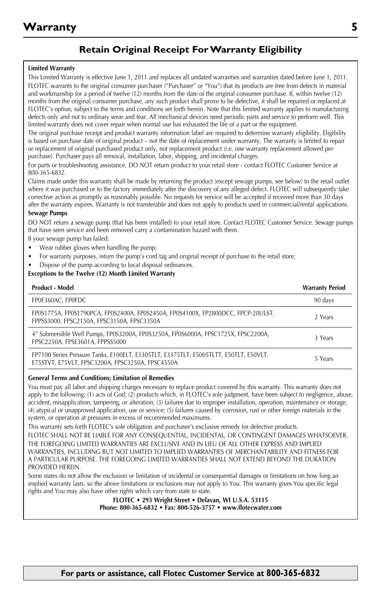## **Retain Original Receipt For Warranty Eligibility**

#### **Limited Warranty**

This Limited Warranty is effective June 1, 2011 and replaces all undated warranties and warranties dated before June 1, 2011. FLOTEC warrants to the original consumer purchaser ("Purchaser" or "You") that its products are free from defects in material and workmanship for a period of twelve (12) months from the date of the original consumer purchase. If, within twelve (12) months from the original consumer purchase, any such product shall prove to be defective, it shall be repaired or replaced at FLOTEC's option, subject to the terms and conditions set forth herein. Note that this limited warranty applies to manufacturing defects only and not to ordinary wear and tear. All mechanical devices need periodic parts and service to perform well. This limited warranty does not cover repair when normal use has exhausted the life of a part or the equipment.

The original purchase receipt and product warranty information label are required to determine warranty eligibility. Eligibility is based on purchase date of original product – not the date of replacement under warranty. The warranty is limited to repair or replacement of original purchased product only, not replacement product (i.e. one warranty replacement allowed per purchase). Purchaser pays all removal, installation, labor, shipping, and incidental charges.

For parts or troubleshooting assistance, DO NOT return product to your retail store - contact FLOTEC Customer Service at 800-365-6832.

Claims made under this warranty shall be made by returning the product (except sewage pumps, see below) to the retail outlet where it was purchased or to the factory immediately after the discovery of any alleged defect. FLOTEC will subsequently take corrective action as promptly as reasonably possible. No requests for service will be accepted if received more than 30 days after the warranty expires. Warranty is not transferable and does not apply to products used in commercial/rental applications.

#### **Sewage Pumps**

DO NOT return a sewage pump (that has been installed) to your retail store. Contact FLOTEC Customer Service. Sewage pumps that have seen service and been removed carry a contamination hazard with them.

If your sewage pump has failed:

- Wear rubber gloves when handling the pump;
- For warranty purposes, return the pump's cord tag and original receipt of purchase to the retail store;
- Dispose of the pump according to local disposal ordinances.

#### **Exceptions to the Twelve (12) Month Limited Warranty**

| <b>Product - Model</b>                                                                                                                    | <b>Warranty Period</b> |
|-------------------------------------------------------------------------------------------------------------------------------------------|------------------------|
| FP0F360AC, FP0FDC                                                                                                                         | 90 days                |
| FP0S1775A, FP0S1790PCA, FP0S2400A, FP0S2450A, FP0S4100X, FP2800DCC, FPCP-20ULST,<br>FPPSS3000, FPSC2150A, FPSC3150A, FPSC3350A            | 2 Years                |
| 4" Submersible Well Pumps, FP0S3200A, FP0S3250A, FP0S6000A, FPSC1725X, FPSC2200A,<br>FPSC2250A, FPSE3601A, FPPSS5000                      | 3 Years                |
| FP7100 Series Pressure Tanks, E100ELT, E3305TLT, E3375TLT, E5005TLTT, E50TLT, E50VLT,<br>E75STVT, E75VLT, FPSC3200A, FPSC3250A, FPSC4550A | 5 Years                |

#### **General Terms and Conditions; Limitation of Remedies**

You must pay all labor and shipping charges necessary to replace product covered by this warranty. This warranty does not apply to the following: (1) acts of God; (2) products which, in FLOTEC's sole judgment, have been subject to negligence, abuse, accident, misapplication, tampering, or alteration; (3) failures due to improper installation, operation, maintenance or storage; (4) atypical or unapproved application, use or service; (5) failures caused by corrosion, rust or other foreign materials in the system, or operation at pressures in excess of recommended maximums.

This warranty sets forth FLOTEC's sole obligation and purchaser's exclusive remedy for defective products.

FLOTEC SHALL NOT BE LIABLE FOR ANY CONSEQUENTIAL, INCIDENTAL, OR CONTINGENT DAMAGES WHATSOEVER. THE FOREGOING LIMITED WARRANTIES ARE EXCLUSIVE AND IN LIEU OF ALL OTHER EXPRESS AND IMPLIED WARRANTIES, INCLUDING BUT NOT LIMITED TO IMPLIED WARRANTIES OF MERCHANTABILITY AND FITNESS FOR A PARTICULAR PURPOSE. THE FOREGOING LIMITED WARRANTIES SHALL NOT EXTEND BEYOND THE DURATION PROVIDED HEREIN.

Some states do not allow the exclusion or limitation of incidental or consequential damages or limitations on how long an implied warranty lasts, so the above limitations or exclusions may not apply to You. This warranty gives You specific legal rights and You may also have other rights which vary from state to state.

> **FLOTEC • 293 Wright Street • Delavan, WI U.S.A. 53115 Phone: 800-365-6832 • Fax: 800-526-3757 • www.flotecwater.com**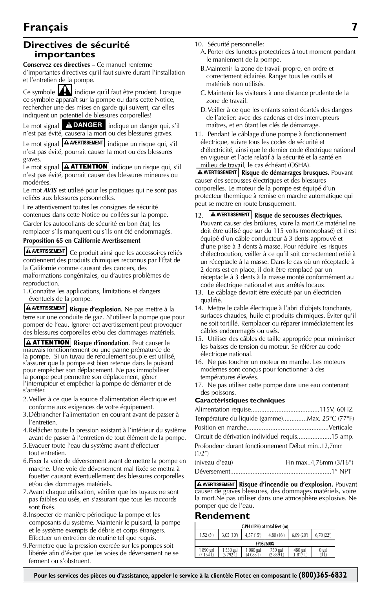## **Directives de sécurité importantes**

**Conservez ces directives** – Ce manuel renferme

d'importantes directives qu'il faut suivre durant l'installation et l'entretien de la pompe.

Ce symbole **indique qu'il faut être prudent. Lorsque** ce symbole apparaît sur la pompe ou dans cette Notice, rechercher une des mises en garde qui suivent, car elles indiquent un potentiel de blessures corporelles!

Le mot signal  $\overline{A}$  DANGER indique un danger qui, s'il n'est pas évité, causera la mort ou des blessures graves.

Le mot signal  $\boxed{\text{A}$  AVERTISSEMENT indique un risque qui, s'il n'est pas évité, pourrait causer la mort ou des blessures graves.

Le mot signal **A ATTENTION** indique un risque qui, s'il n'est pas évité, pourrait causer des blessures mineures ou modérées.

Le mot *AVIS* est utilisé pour les pratiques qui ne sont pas reliées aux blessures personnelles.

Lire attentivement toutes les consignes de sécurité contenues dans cette Notice ou collées sur la pompe. Garder les autocollants de sécurité en bon état; les remplacer s'ils manquent ou s'ils ont été endommagés.

#### **Proposition 65 en Californie Avertissement**

A **AVERTISSEMENT** Ce produit ainsi que les accessoires reliés contiennent des produits chimiques reconnus par l'État de la Californie comme causant des cancers, des

malformations congénitales, ou d'autres problèmes de reproduction.

1.Connaître les applications, limitations et dangers éventuels de la pompe.

**A AVERTISSEMENT** Risque d'explosion. Ne pas mettre à la terre sur une conduite de gaz. N'utiliser la pompe que pour pomper de l'eau. Ignorer cet avertissement peut provoquer des blessures corporelles et/ou des dommages matériels.

**A ATTENTION** Risque d'inondation. Peut causer le mauvais fonctionnement ou une panne prématurée de la pompe. Si un tuyau de refoulement souple est utilisé, s'assurer que la pompe est bien retenue dans le puisard pour empêcher son déplacement. Ne pas immobiliser la pompe peut permettre son déplacement, gêner l'interrupteur et empêcher la pompe de démarrer et de s'arrêter.

- 2.Veiller à ce que la source d'alimentation électrique est conforme aux exigences de votre équipement.
- 3.Débrancher l'alimentation en courant avant de passer à l'entretien.
- 4.Relâcher toute la pression existant à l'intérieur du système avant de passer à l'entretien de tout élément de la pompe.
- 5.Evacuer toute l'eau du système avant d'effectuer tout entretien.
- 6.Fixer la voie de déversement avant de mettre la pompe en marche. Une voie de déversement mal fixée se mettra à fouetter causant éventuellement des blessures corporelles et/ou des dommages matériels.
- 7.Avant chaque utilisation, vérifier que les tuyaux ne sont pas faibles ou usés, en s'assurant que tous les raccords sont fixés.
- 8.Inspecter de manière périodique la pompe et les composants du système. Maintenir le puisard, la pompe et le système exempts de débris et corps étrangers. Effectuer un entretien de routine tel que requis.
- 9.Permettre que la pression exercée sur les pompes soit libérée afin d'éviter que les voies de déversement ne se ferment ou s'obstruent.
- 10. Sécurité personnelle:
	- A. Porter des lunettes protectrices à tout moment pendant le maniement de la pompe.
	- B.Maintenir la zone de travail propre, en ordre et correctement éclairée. Ranger tous les outils et matériels non utilisés.
	- C. Maintenir les visiteurs à une distance prudente de la zone de travail.
	- D.Veiller à ce que les enfants soient écartés des dangers de l'atelier: avec des cadenas et des interrupteurs maîtres, et en ôtant les clés de démarrage.

11. Pendant le câblage d'une pompe à fonctionnement électrique, suivre tous les codes de sécurité et d'électricité, ainsi que le dernier code électrique national en vigueur et l'acte relatif à la sécurité et la santé en

milieu de travail, le cas échéant (OSHA). **Risque de démarrages brusques.** Pouvant causer des secousses électriques et des blessures corporelles. Le moteur de la pompe est équipé d'un protecteur thermique à remise en marche automatique qui peut se mettre en route brusquement.

#### 12. **A AVERTISSEMENT** Risque de secousses électriques.

- Pouvant causer des brúlures, voire la mort.Ce matériel ne doit être utilisé que sur du 115 volts (monophasé) et il est équipé d'un câble conducteur à 3 dents approuvé et d'une prise à 3 dents à masse. Pour réduire les risques d'électrocution, veiller à ce qu'il soit correctement relié à un réceptacle à la masse. Dans le cas où un réceptacle à 2 dents est en place, il doit être remplacé par un réceptacle à 3 dents à la masse monté conformément au code électrique national et aux arrêtés locaux.
- 13. Le câblage devrait être exécuté par un électricien qualifié.
- 14. Mettre le cable électrique à l'abri d'objets tranchants, surfaces chaudes, huile et produits chimiques. Éviter qu'il ne soit tortillé. Remplacer ou réparer immédiatement les câbles endommagés ou usés.
- 15. Utiliser des câbles de taille appropriée pour minimiser les baisses de tension du moteur. Se référer au code électrique national.
- 16. Ne pas toucher un moteur en marche. Les moteurs modernes sont conçus pour fonctionner à des températures élevées.
- 17. Ne pas utiliser cette pompe dans une eau contenant des poissons.

#### **Caractéristiques techniques**

| Température du liquide (gamme)Max. 25°C (77°F)              |                       |
|-------------------------------------------------------------|-----------------------|
|                                                             |                       |
| Circuit de dérivation individuel requis15 amp.              |                       |
| Profondeur durant fonctionnement Début min12,7mm<br>(1/2'') |                       |
| (niveau d'eau)                                              | Fin max4,76mm (3/16") |
|                                                             |                       |

**A AVERTISSEMENT** Risque d'incendie ou d'explosion. Pouvant causer de graves blessures, des dommages matériels, voire la mort.Ne pas utiliser dans une atmosphère explosive. Ne pomper que de l'eau.

#### **Rendement**

| GPH (LPH) at total feet (m)                                               |  |  |  |  |  |  |  |
|---------------------------------------------------------------------------|--|--|--|--|--|--|--|
| 4,80 (16')<br>1.52 (5')<br>3.05 (10")<br>4.57 (15')<br>6.09 (20)<br>0.22' |  |  |  |  |  |  |  |
| <b>FP0S2600X</b>                                                          |  |  |  |  |  |  |  |
| 1890 gal<br>530 gal<br>750 gal<br>480 gal<br>080 gal<br>$0$ gal<br>U L    |  |  |  |  |  |  |  |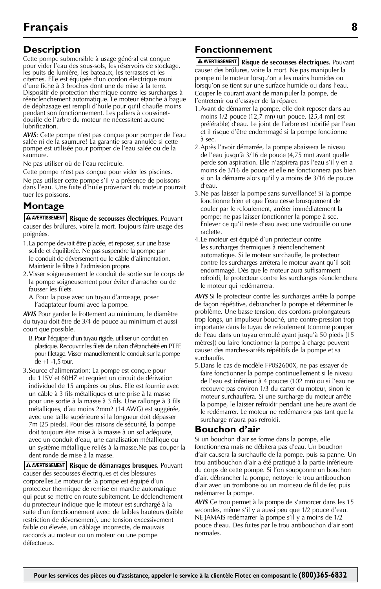## **Description**

Cette pompe submersible à usage général est conçue pour vider l'eau des sous-sols, les réservoirs de stockage, les puits de lumière, les bateaux, les terrasses et les citernes. Elle est équipée d'un cordon électrique muni d'une fiche à 3 broches dont une de mise à la terre. Dispositif de protection thermique contre les surcharges à réenclenchement automatique. Le moteur étanche à bague de déphasage est rempli d'huile pour qu'il chauffe moins pendant son fonctionnement. Les paliers à coussinetdouille de l'arbre du moteur ne nécessitent aucune lubrification.

*AVIS*: Cette pompe n'est pas conçue pour pomper de l'eau salée ni de la saumure! La garantie sera annulée si cette pompe est utilisée pour pomper de l'eau salée ou de la saumure.

Ne pas utiliser où de l'eau recircule.

Cette pompe n'est pas conçue pour vider les piscines.

Ne pas utiliser cette pompe s'il y a présence de poissons dans l'eau. Une fuite d'huile provenant du moteur pourrait tuer les poissons.

## **Montage**

**A AVERTISSEMENT** Risque de secousses électriques. Pouvant causer des brúlures, voire la mort. Toujours faire usage des poignées.

- 1.La pompe devrait être placée, et reposer, sur une base solide et équilibrée. Ne pas suspendre la pompe par le conduit de déversement ou le câble d'alimentation. Maintenir le filtre à l'admission propre.
- 2.Visser soigneusement le conduit de sortie sur le corps de la pompe soigneusement pour éviter d'arracher ou de fausser les filets.
	- A. Pour la pose avec un tuyau d'arrosage, poser l'adaptateur fourni avec la pompe.

*AVIS* Pour garder le frottement au minimum, le diamètre du tuyau doit être de 3/4 de pouce au minimum et aussi court que possible.

- B.Pour l'équiper d'un tuyau rigide, utiliser un conduit en plastique. Recouvrir les filets de ruban d'étanchéité en PTFE pour filetage. Visser manuellement le conduit sur la pompe de +1 -1,5 tour.
- 3.Source d'alimentation: La pompe est conçue pour du 115V et 60HZ et requiert un circuit de dérivation individuel de 15 ampères ou plus. Elle est fournie avec un câble à 3 fils métalliques et une prise à la masse pour une sortie à la masse à 3 fils. Une rallonge à 3 fils métalliques, d'au moins 2mm2 (14 AWG) est suggérée, avec une taille supérieure si la longueur doit dépasser 7m (25 pieds). Pour des raisons de sécurité, la pompe doit toujours être mise à la masse à un sol adéquate, avec un conduit d'eau, une canalisation métallique ou un système métallique reliés à la masse.Ne pas couper la dent ronde de mise à la masse.

**A AVERTISSEMENT** Risque de démarrages brusques. Pouvant causer des secousses électriques et des blessures corporelles.Le moteur de la pompe est équipé d'un protecteur thermique de remise en marche automatique qui peut se mettre en route subitement. Le déclenchement du protecteur indique que le moteur est surchargé à la suite d'un fonctionnement avec: de faibles hauteurs (faible restriction de déversement), une tension excessivement faible ou élevée, un câblage incorrecte, de mauvais raccords au moteur ou un moteur ou une pompe défectueux.

## **Fonctionnement**

**A AVERTISSEMENT** Risque de secousses électriques. Pouvant causer des brúlures, voire la mort. Ne pas manipuler la pompe ni le moteur lorsqu'on a les mains humides ou lorsqu'on se tient sur une surface humide ou dans l'eau. Couper le courant avant de manipuler la pompe, de l'entretenir ou d'essayer de la réparer.

- 1.Avant de démarrer la pompe, elle doit reposer dans au moins 1/2 pouce (12,7 mn) (un pouce, [25,4 mn] est préférable) d'eau. Le joint de l'arbre est lubrifié par l'eau et il risque d'être endommagé si la pompe fonctionne à sec.
- 2.Après l'avoir démarrée, la pompe abaissera le niveau de l'eau jusqu'à 3/16 de pouce (4,75 mn) avant quelle perde son aspiration. Elle n'aspirera pas l'eau s'il y en a moins de 3/16 de pouce et elle ne fonctionnera pas bien si on la démarre alors qu'il y a moins de 3/16 de pouce d'eau.
- 3.Ne pas laisser la pompe sans surveillance! Si la pompe fonctionne bien et que l'eau cesse brusquement de couler par le refoulement, arrêter immédiatement la pompe; ne pas laisser fonctionner la pompe à sec. Enlever ce qu'il reste d'eau avec une vadrouille ou une raclette.
- 4.Le moteur est équipé d'un protecteur contre les surcharges thermiques à réenclenchement automatique. Si le moteur surchauffe, le protecteur contre les surcharges arrêtera le moteur avant qu'il soit endommagé. Dès que le moteur aura suffisamment refroidi, le protecteur contre les surcharges réenclenchera le moteur qui redémarrera.

*AVIS* Si le protecteur contre les surcharges arrête la pompe de façon répétitive, débrancher la pompe et déterminer le problème. Une basse tension, des cordons prolongateurs trop longs, un impulseur bouché, une contre-pression trop importante dans le tuyau de refoulement (comme pomper de l'eau dans un tuyau enroulé ayant jusqu'à 50 pieds [15 mètres]) ou faire fonctionner la pompe à charge peuvent causer des marches-arrêts répétitifs de la pompe et sa surchauffe.

5.Dans le cas de modèle FP0S2600X, ne pas essayer de faire fonctionner la pompe continuellement si le niveau de l'eau est inférieur à 4 pouces (102 mn) ou si l'eau ne recouvre pas environ 1/3 du carter du moteur, sinon le moteur surchauffera. Si une surcharge du moteur arrête la pompe, le laisser refroidir pendant une heure avant de le redémarrer. Le moteur ne redémarrera pas tant que la surcharge n'aura pas refroidi.

## **Bouchon d'air**

Si un bouchon d'air se forme dans la pompe, elle fonctionnera mais ne débitera pas d'eau. Un bouchon d'air causera la surchauffe de la pompe, puis sa panne. Un trou antibouchon d'air a été pratiqué à la partie inférieure du corps de cette pompe. Si l'on soupçonne un bouchon d'air, débrancher la pompe, nettoyer le trou antibouchon d'air avec un trombone ou un morceau de fil de fer, puis redémarrer la pompe.

*AVIS* Ce trou permet à la pompe de s'amorcer dans les 15 secondes, même s'il y a aussi peu que 1/2 pouce d'eau. NE JAMAIS redémarrer la pompe s'il y a moins de 1/2 pouce d'eau. Des fuites par le trou antibouchon d'air sont normales.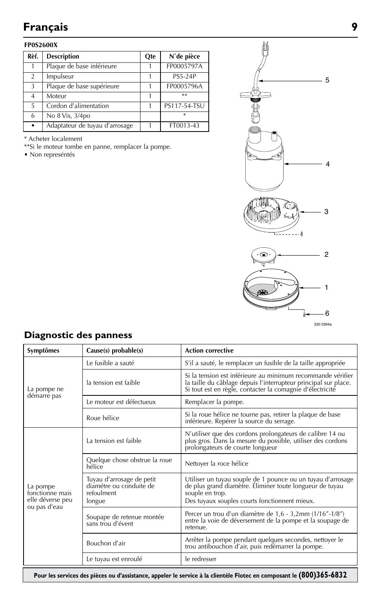#### **FP0S2600X**

| Rèf.           | <b>Description</b>             | Ote | N°de pièce     |
|----------------|--------------------------------|-----|----------------|
|                | Plaque de base inférieure      |     | FP0005797A     |
| $\mathfrak{D}$ | Impulseur                      |     | <b>PS5-24P</b> |
| 3              | Plaque de base supérieure      |     | FP0005796A     |
| 4              | Moteur                         |     | $**$           |
| 5              | Cordon d'alimentation          |     | PS117-54-TSU   |
| 6              | No 8 Vis, 3/4po                |     | *              |
| $\bullet$      | Adaptateur de tuyau d'arrosage |     | FT0013-43      |

\* Acheter localement

\*\*Si le moteur tombe en panne, remplacer la pompe.

• Non represéntés



## **Diagnostic des panness**

| Symptômes                                                       | $Cause(s)$ probable $(s)$                                                    | <b>Action corrective</b>                                                                                                                                                                    |  |
|-----------------------------------------------------------------|------------------------------------------------------------------------------|---------------------------------------------------------------------------------------------------------------------------------------------------------------------------------------------|--|
|                                                                 | Le fusible a sauté                                                           | S'il a sauté, le remplacer un fusible de la taille appropriée                                                                                                                               |  |
| La pompe ne                                                     | la tension est faible                                                        | Si la tension est inférieure au minimum recommande vérifier<br>la taille du câblage depuis l'interrupteur principal sur place.<br>Si tout est en règle, contacter la comagnie d'électricité |  |
| démarre pas                                                     | Le moteur est défectueux                                                     | Remplacer la pompe.                                                                                                                                                                         |  |
|                                                                 | Roue hélice                                                                  | Si la roue hélice ne tourne pas, retirer la plaque de base<br>inférieure. Repérer la source du serrage.                                                                                     |  |
|                                                                 | La tension est faible                                                        | N'utiliser que des cordons prolongateurs de calibre 14 ou<br>plus gros. Dans la mesure du possible, utiliser des cordons<br>prolongateurs de courte longueur                                |  |
|                                                                 | Quelque chose obstrue la roue<br>hélice                                      | Nettoyer la roce hélice                                                                                                                                                                     |  |
| La pompe<br>fonctionne mais<br>elle déverse peu<br>ou pas d'eau | Tuyau d'arrosage de petit<br>diamétre ou conduite de<br>refoulment<br>longue | Utiliser un tuyau souple de 1 pounce ou un tuyau d'arrosage<br>de plus grand diamètre. Éliminer toute longueur de tuyau<br>souple en trop.<br>Des tuyaux souples courts fonctionnent mieux. |  |
|                                                                 | Soupape de retenue montée<br>sans trou d'évent                               | Percer un trou d'un diamètre de 1,6 - 3,2mm (1/16"-1/8")<br>entre la voie de déversement de la pompe et la soupage de<br>retenue.                                                           |  |
|                                                                 | Bouchon d'air                                                                | Arrêter la pompe pendant quelques secondes, nettoyer le<br>trou antibouchon d'air, puis redémarrer la pompe.                                                                                |  |
|                                                                 | Le tuyau est enroulé                                                         | le redresser                                                                                                                                                                                |  |

**Pour les services des pièces ou d'assistance, appeler le service à la clientèle Flotec en composant le (800)365-6832**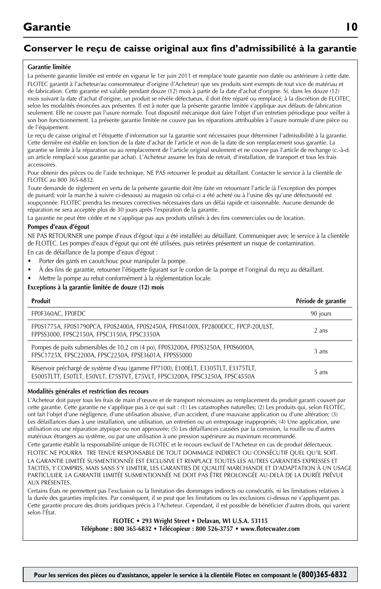## **Conserver le reçu de caisse original aux fins d'admissibilité à la garantie**

#### **Garantie limitée**

La présente garantie limitée est entrée en vigueur le 1er juin 2011 et remplace toute garantie non datée ou antérieure à cette date. FLOTEC garantit à l'acheteur/au consommateur d'origine (l'Acheteur) que ses produits sont exempts de tout vice de matériau et de fabrication. Cette garantie est valable pendant douze (12) mois à partir de la date d'achat d'origine. Si, dans les douze (12) mois suivant la date d'achat d'origine, un produit se révèle défectueux, il doit être réparé ou remplacé, à la discrétion de FLOTEC, selon les modalités énoncées aux présentes. Il est à noter que la présente garantie limitée s'applique aux défauts de fabrication seulement. Elle ne couvre pas l'usure normale. Tout dispositif mécanique doit faire l'objet d'un entretien périodique pour veiller à son bon fonctionnement. La présente garantie limitée ne couvre pas les réparations attribuables à l'usure normale d'une pièce ou de l'équipement.

Le reçu de caisse original et l'étiquette d'information sur la garantie sont nécessaires pour déterminer l'admissibilité à la garantie. Cette dernière est établie en fonction de la date d'achat de l'article et non de la date de son remplacement sous garantie. La garantie se limite à la réparation ou au remplacement de l'article original seulement et ne couvre pas l'article de rechange (c.-à-d. un article remplacé sous garantie par achat). L'Acheteur assume les frais de retrait, d'installation, de transport et tous les frais accessoires.

Pour obtenir des pièces ou de l'aide technique, NE PAS retourner le produit au détaillant. Contacter le service à la clientèle de FLOTEC au 800 365-6832.

Toute demande de règlement en vertu de la présente garantie doit être faite en retournant l'article (à l'exception des pompes de puisard; voir la marche à suivre ci-dessous) au magasin où celui-ci a été acheté ou à l'usine dès qu'une défectuosité est soupçonnée. FLOTEC prendra les mesures correctives nécessaires dans un délai rapide et raisonnable. Aucune demande de réparation ne sera acceptée plus de 30 jours après l'expiration de la garantie.

La garantie ne peut être cédée et ne s'applique pas aux produits utilisés à des fins commerciales ou de location.

#### **Pompes d'eaux d'égout**

NE PAS RETOURNER une pompe d'eaux d'égout (qui a été installée) au détaillant. Communiquer avec le service à la clientèle de FLOTEC. Les pompes d'eaux d'égout qui ont été utilisées, puis retirées présentent un risque de contamination.

En cas de défaillance de la pompe d'eaux d'égout :

- Porter des gants en caoutchouc pour manipuler la pompe.
- À des fins de garantie, retourner l'étiquette figurant sur le cordon de la pompe et l'original du reçu au détaillant.
- Mettre la pompe au rebut conformément à la réglementation locale.

#### **Exceptions à la garantie limitée de douze (12) mois**

| Produit                                                                                                                                                          | Période de garantie |
|------------------------------------------------------------------------------------------------------------------------------------------------------------------|---------------------|
| FP0F360AC, FP0FDC                                                                                                                                                | 90 jours            |
| FP0S1775A, FP0S1790PCA, FP0S2400A, FP0S2450A, FP0S4100X, FP2800DCC, FPCP-20ULST,<br>FPPSS3000, FPSC2150A, FPSC3150A, FPSC3350A                                   | 2 ans               |
| Pompes de puits submersibles de 10,2 cm (4 po), FP0S3200A, FP0S3250A, FP0S6000A,<br>FPSC1725X, FPSC2200A, FPSC2250A, FPSE3601A, FPPSS5000                        | 3 ans               |
| Réservoir préchargé de système d'eau (gamme FP7100), E100ELT, E3305TLT, E3375TLT,<br>E5005TLTT, E50TLT, E50VLT, E75STVT, E75VLT, FPSC3200A, FPSC3250A, FPSC4550A | 5 ans               |

#### **Modalités générales et restriction des recours**

L'Acheteur doit payer tous les frais de main d'œuvre et de transport nécessaires au remplacement du produit garanti couvert par cette garantie. Cette garantie ne s'applique pas à ce qui suit : (1) Les catastrophes naturelles; (2) Les produits qui, selon FLOTEC, ont fait l'objet d'une négligence, d'une utilisation abusive, d'un accident, d'une mauvaise application ou d'une altération; (3) Les défaillances dues à une installation, une utilisation, un entretien ou un entreposage inappropriés; (4) Une application, une utilisation ou une réparation atypique ou non approuvée; (5) Les défaillances causées par la corrosion, la rouille ou d'autres matériaux étrangers au système, ou par une utilisation à une pression supérieure au maximum recommandé.

Cette garantie établit la responsabilité unique de FLOTEC et le recours exclusif de l'Acheteur en cas de produit défectueux. FLOTEC NE POURRA TRE TENUE RESPONSABLE DE TOUT DOMMAGE INDIRECT OU CONSÉCUTIF QUEL QU'IL SOIT. LA GARANTIE LIMITÉE SUSMENTIONNÉE EST EXCLUSIVE ET REMPLACE TOUTES LES AUTRES GARANTIES EXPRESSES ET TACITES, Y COMPRIS, MAIS SANS S'Y LIMITER, LES GARANTIES DE QUALITÉ MARCHANDE ET D'ADAPTATION À UN USAGE PARTICULIER. LA GARANTIE LIMITÉE SUSMENTIONNÉE NE DOIT PAS ÊTRE PROLONGÉE AU-DELÀ DE LA DURÉE PRÉVUE AUX PRÉSENTES.

Certains États ne permettent pas l'exclusion ou la limitation des dommages indirects ou consécutifs, ni les limitations relatives à la durée des garanties implicites. Par conséquent, il se peut que les limitations ou les exclusions ci-dessus ne s'appliquent pas. Cette garantie procure des droits juridiques précis à l'Acheteur. Cependant, il est possible de bénéficier d'autres droits, qui varient selon l'État.

> **FLOTEC • 293 Wright Street • Delavan, WI U.S.A. 53115 Téléphone : 800 365-6832 • Télécopieur : 800 526-3757 • www.flotecwater.com**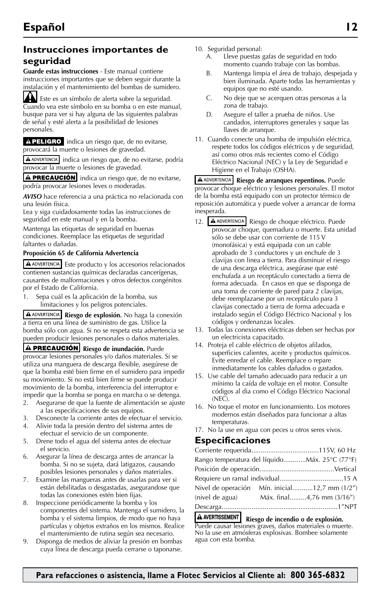## **Instrucciones importantes de seguridad**

**Guarde estas instrucciones** - Este manual contiene instrucciones importantes que se deben seguir durante la instalación y el mantenimiento del bombas de sumidero.

Este es un símbolo de alerta sobre la seguridad. Cuando vea este símbolo en su bomba o en este manual, busque para ver si hay alguna de las siguientes palabras de señal y esté alerta a la posibilidad de lesiones personales.

APELIGRO indica un riesgo que, de no evitarse, provocará la muerte o lesiones de gravedad.

A ADVERTENCIA indica un riesgo que, de no evitarse, podría provocar la muerte o lesiones de gravedad.

A PRECAUCIÓN indica un riesgo que, de no evitarse, podría provocar lesiones leves o moderadas.

*AVISO* hace referencia a una práctica no relacionada con una lesión física.

Lea y siga cuidadosamente todas las instrucciones de seguridad en este manual y en la bomba.

Mantenga las etiquetas de seguridad en buenas condiciones. Reemplace las etiquetas de seguridad faltantes o dañadas.

#### **Proposición 65 de California Advertencia**

Este producto y los accesorios relacionados contienen sustancias químicas declaradas cancerígenas, causantes de malformaciones y otros defectos congénitos por el Estado de California.

1. Sepa cuál es la aplicación de la bomba, sus limitaciones y los peligros potenciales.

**Riesgo de explosión.** No haga la conexión a tierra en una línea de suministro de gas. Utilice la bomba sólo con agua. Si no se respeta esta advertencia se pueden producir lesiones personales o daños materiales.

**A PRECAUCIÓN** Riesgo de inundación. Puede provocar lesiones personales y/o daños materiales. Si se utiliza una manguera de descarga flexible, asegúrese de que la bomba esté bien firme en el sumidero para impedir su movimiento. Si no está bien firme se puede producir movimiento de la bomba, interferencia del interruptor e impedir que la bomba se ponga en marcha o se detenga.

- 2. Asegurarse de que la fuente de alimentación se ajuste a las especificaciones de sus equipos.
- 3. Desconecte la corriente antes de efectuar el servicio.
- 4. Alivie toda la presión dentro del sistema antes de efectuar el servicio de un componente.
- 5. Drene todo el agua del sistema antes de efectuar el servicio.
- 6. Asegurar la línea de descarga antes de arrancar la bomba. Si no se sujeta, dará latigazos, causando posibles lesiones personales y daños materiales.
- 7. Examine las mangueras antes de usarlas para ver si están debilitadas o desgastadas, asegurandose que todas las conexiones estén bien fijas.
- 8. Inspeccione periódicamente la bomba y los componentes del sistema. Mantenga el sumidero, la bomba y el sistema limpios, de modo que no haya partículas y objetos extraños en los mismos. Realice el mantenimiento de rutina según sea necesario.
- 9. Disponga de medios de aliviar la presión en bombas cuya línea de descarga pueda cerrarse o taponarse.
- 10. Seguridad personal:
	- A. Lleve puestas gafas de seguridad en todo momento cuando trabaje con las bombas.
	- B. Mantenga limpia el área de trabajo, despejada y bien iluminada. Aparte todas las herramientas y equipos que no esté usando.
	- C. No deje que se acerquen otras personas a la zona de trabajo.
	- D. Asegure el taller a prueba de niños. Use candados, interruptores generales y saque las llaves de arranque.
- 11. Cuando conecte una bomba de impulsión eléctrica, respete todos los códigos eléctricos y de seguridad, así como otros más recientes como el Código Eléctrico Nacional (NEC) y la Ley de Seguridad e Higiene en el Trabajo (OSHA).

**A ADVERTENCIA** Riesgo de arranques repentinos. Puede provocar choque eléctrico y lesiones personales. El motor de la bomba está equipado con un protector térmico de reposición automática y puede volver a arrancar de forma inesperada.

- 12. A ADVERTENCIA Riesgo de choque eléctrico. Puede provocar choque, quemadura o muerte. Esta unidad sólo se debe usar con corriente de 115 V (monofásica) y está equipada con un cable aprobado de 3 conductores y un enchufe de 3 clavijas con linea a tierra. Para disminuir el riesgo de una descarga eléctrica, asegúrase que esté enchufada a un receptáculo conectado a tierra de forma adecuada. En casos en que se disponga de una toma de corriente de pared para 2 clavijas, debe reemplazarse por un receptáculo para 3 clavijas conectado a tierra de forma adecuada e instalado según el Código Eléctrico Nacional y los códigos y ordenanzas locales.
- 13. Todas las conexiones eléctricas deben ser hechas por un electricista capacitado.
- 14. Proteja el cable eléctrico de objetos afilados, superficies calientes, aceite y productos químicos. Evite enredar el cable. Reemplace o repare inmediatamente los cables dañados o gastados.
- 15. Use cable del tamaño adecuado para reducir a un mínimo la caída de voltaje en el motor. Consulte códigos al dia como el Código Eléctrico Nacional (NEC).
- 16. No toque el motor en funcionamiento. Los motores modernos están diseñados para funcionar a altas temperaturas.
- 17. No la use en agua con peces u otros seres vivos.

#### **Especificaciones**

| Rango temperatura del líquidoMáx. 25°C (77°F) |                           |
|-----------------------------------------------|---------------------------|
|                                               |                           |
|                                               |                           |
| Nivel de operación Mín. inicial12,7 mm (1/2") |                           |
| (nivel de agua)                               | Máx. final4,76 mm (3/16") |
|                                               |                           |

A AVERTISSEMENT **Riesgo de incendio o de explosión.** Puede causar lesiones graves, daños materiales o muerte.

No la use en atmósferas explosivas. Bombee solamente agua con esta bomba.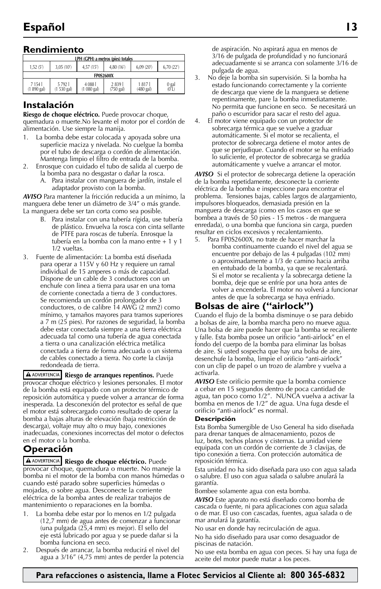## **Rendimiento**

| LPH (GPH) a metros (pies) totales                                          |                                                                                                                          |  |  |  |  |  |  |
|----------------------------------------------------------------------------|--------------------------------------------------------------------------------------------------------------------------|--|--|--|--|--|--|
| 6.70 (22')<br>3.05 (10)<br>4.80(16)<br>4.57 (15')<br>6.09 (20"<br>1.52(5') |                                                                                                                          |  |  |  |  |  |  |
| <b>FP0S2600X</b>                                                           |                                                                                                                          |  |  |  |  |  |  |
| 7 1 5 4 1<br>(1 890 gal)                                                   | 57921<br>2839<br>4 0 8 8<br>1817<br>$0$ gal<br>$(01)$<br>(1 080 gal)<br>1 530 gal)<br>$(750$ gal)<br>$(480 \text{ gal})$ |  |  |  |  |  |  |

## **Instalación**

**Riesgo de choque eléctrico.** Puede provocar choque, quemadura o muerte.No levante el motor por el cordón de alimentación. Use siempre la manija.

- 1. La bomba debe estar colocada y apoyada sobre una superficie maciza y nivelada. No cuelgue la bomba por el tubo de descarga o cordón de alimentación. Mantenga limpio el filtro de entrada de la bomba.
- 2. Enrosque con cuidado el tubo de salida al cuerpo de la bomba para no desgastar o dañar la rosca.
	- A. Para instalar con manguera de jardín, instale el adaptador provisto con la bomba.

*AVISO* Para mantener la fricción reducida a un mínimo, la manguera debe tener un diámetro de 3/4" o más grande. La manguera debe ser tan corta como sea posible.

- B. Para instalar con una tubería rígida, use tubería de plástico. Envuelva la rosca con cinta sellante de PTFE para roscas de tubería. Enrosque la tubería en la bomba con la mano entre + 1 y 1 1/2 vueltas.
- 3. Fuente de alimentación: La bomba está diseñada para operar a 115V y 60 Hz y requiere un ramal individual de 15 amperes o más de capacidad. Dispone de un cable de 3 conductores con un enchufe con linea a tierra para usar en una toma de corriente conectada a tierra de 3 conductores. Se recomienda un cordón prolongador de 3 conductores, o de calibre 14 AWG (2 mm2) como mínimo, y tamaños mayores para tramos superiores a 7 m (25 pies). Por razones de seguridad, la bomba debe estar conectada siempre a una tierra eléctrica adecuada tal como una tubería de agua conectada a tierra o una canalización eléctrica metálica conectada a tierra de forma adecuada o un sistema de cables conectado a tierra. No corte la clavija redondeada de tierra.

**A ADVERTENCIA** Riesgo de arranques repentinos. Puede provocar choque eléctrico y lesiones personales. El motor de la bomba está equipado con un protector térmico de reposición automática y puede volver a arrancar de forma inesperada. La desconexión del protector es señal de que el motor está sobrecargado como resultado de operar la bomba a bajas alturas de elevación (baja restricción de descarga), voltaje muy alto o muy bajo, conexiones inadecuadas, conexiones incorrectas del motor o defectos en el motor o la bomba.

## **Operación**

**Riesgo de choque eléctrico.** Puede provocar choque, quemadura o muerte. No maneje la bomba ni el motor de la bomba con manos húmedas o cuando esté parado sobre superficies húmedas o mojadas, o sobre agua. Desconecte la corriente eléctrica de la bomba antes de realizar trabajos de mantenimiento o reparaciones en la bomba.

- La bomba debe estar por lo menos en 1/2 pulgada (12,7 mm) de agua antes de comenzar a funcionar (una pulgada (25,4 mm) es mejor). El sello del eje está lubricado por agua y se puede dañar si la bomba funciona en seco.
- 2. Después de arrancar, la bomba reducirá el nivel del agua a 3/16" (4,75 mm) antes de perder la potencia

de aspiración. No aspirará agua en menos de 3/16 de pulgada de profundidad y no funcionará adecuadamente si se arranca con solamente 3/16 de pulgada de agua.

- 3. No deje la bomba sin supervisión. Si la bomba ha estado funcionando correctamente y la corriente de descarga que viene de la manguera se detiene repentinamente, pare la bomba inmediatamente. No permita que funcione en seco. Se necesitará un paño o escurridor para sacar el resto del agua.
- 4. El motor viene equipado con un protector de sobrecarga térmica que se vuelve a graduar automáticamente. Si el motor se recalienta, el protector de sobrecarga detiene el motor antes de que se perjudique. Cuando el motor se ha enfriado lo suficiente, el protector de sobrecarga se gradúa automáticamente y vuelve a arrancar el motor.

*AVISO* Si el protector de sobrecarga detiene la operación de la bomba repetidamente, desconecte la corriente eléctrica de la bomba e inspeccione para encontrar el problema. Tensiones bajas, cables largos de alargamiento, impulsores bloqueados, demasiada presión en la manguera de descarga (como en los casos en que se bombea a través de 50 pies - 15 metros - de manguera enredada), o una bomba que funciona sin carga, pueden resultar en ciclos excesivos y recalentamiento.

5. Para FP0S2600X, no trate de hacer marchar la bomba continuamente cuando el nivel del agua se encuentre por debajo de las 4 pulgadas (102 mm) o aproximadamente a 1/3 de camino hacia arriba en entubado de la bomba, ya que se recalentará. Si el motor se recalienta y la sobrecarga detiene la bomba, deje que se enfríe por una hora antes de volver a encenderla. El motor no volverá a funcionar antes de que la sobrecarga se haya enfriado.

## **Bolsas de aire ("airlock")**

Cuando el flujo de la bomba disminuye o se para debido a bolsas de aire, la bomba marcha pero no mueve agua. Una bolsa de aire puede hacer que la bomba se recaliente y falle. Esta bomba posee un orificio "anti-airlock" en el fondo del cuerpo de la bomba para eliminar las bolsas de aire. Si usted sospecha que hay una bolsa de aire, desenchufe la bomba, limpie el orificio "anti-airlock" con un clip de papel o un trozo de alambre y vuelva a activarla.

*AVISO* Este orificio permite que la bomba comience a cebar en 15 segundos dentro de poca cantidad de agua, tan poco como 1/2". NUNCA vuelva a activar la bomba en menos de 1/2" de agua. Una fuga desde el orificio "anti-airlock" es normal.

#### **Descripción**

Esta Bomba Sumergible de Uso General ha sido diseñada para drenar tanques de almacenamiento, pozos de luz, botes, techos planos y cisternas. La unidad viene equipada con un cordón de corriente de 3 clavijas, de tipo conexión a tierra. Con protección automática de reposición térmica.

Esta unidad no ha sido diseñada para uso con agua salada o salubre. El uso con agua salada o salubre anulará la garantía.

Bombee solamente agua con esta bomba.

*AVISO* Este aparato no está diseñado como bomba de cascada o fuente, ni para aplicaciones con agua salada o de mar. El uso con cascadas, fuentes, agua salada o de mar anulará la garantía.

No usar en donde hay recirculación de agua.

No ha sido diseñado para usar como desaguador de piscinas de natación.

No use esta bomba en agua con peces. Si hay una fuga de aceite del motor puede matar a los peces.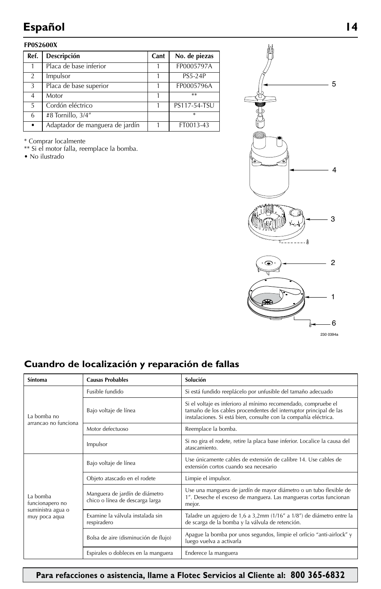## **Español 14**

#### **FP0S2600X**

| Ref.          | Descripción                     | Cant | No. de piezas  |
|---------------|---------------------------------|------|----------------|
|               | Placa de base inferior          |      | FP0005797A     |
| $\mathcal{P}$ | Impulsor                        |      | <b>PS5-24P</b> |
| 3             | Placa de base superior          |      | FP0005796A     |
| 4             | Motor                           |      | $**$           |
| 5             | Cordón eléctrico                |      | PS117-54-TSU   |
| 6             | #8 Tornillo, 3/4"               |      | $\ast$         |
| $\bullet$     | Adaptador de manguera de jardín |      | FT0013-43      |

\* Comprar localmente

\*\* Si el motor falla, reemplace la bomba.

• No ilustrado



230 0394a

## **Cuandro de localización y reparación de fallas**

| Síntoma                             | <b>Causas Probables</b>                                           | Solución                                                                                                                                                                                                 |  |
|-------------------------------------|-------------------------------------------------------------------|----------------------------------------------------------------------------------------------------------------------------------------------------------------------------------------------------------|--|
|                                     | Eusible fundido                                                   | Si está fundido reeplácelo por unfusible del tamaño adecuado                                                                                                                                             |  |
| La bomba no<br>arrancao no funciona | Bajo voltaje de línea                                             | Si el voltaje es inferioro al mínimo recomendado, compruebe el<br>tamaño de los cables procendentes del interruptor principal de las<br>instalaciones. Si está bien, consulte con la compañía eléctrica. |  |
|                                     | Motor defectuoso                                                  | Reemplace la bomba.                                                                                                                                                                                      |  |
|                                     | Impulsor                                                          | Si no gira el rodete, retire la placa base inferior. Localice la causa del<br>atascamiento.                                                                                                              |  |
|                                     | Bajo voltaje de línea                                             | Use únicamente cables de extensión de calibre 14. Use cables de<br>extensión cortos cuando sea necesario                                                                                                 |  |
|                                     | Objeto atascado en el rodete                                      | Limpie el impulsor.                                                                                                                                                                                      |  |
| La bomba<br>funcionapero no         | Manguera de jardín de diámetro<br>chico o línea de descarga larga | Use una manguera de jardín de mayor diámetro o un tubo flexible de<br>1". Deseche el exceso de manguera. Las mangueras cortas funcionan<br>mejor.                                                        |  |
| suministra agua o<br>muy poca aqua  | Examine la válvula instalada sin<br>respiradero                   | Taladre un agujero de 1,6 a 3,2mm (1/16" a 1/8") de diámetro entre la<br>de scarga de la bomba y la válvula de retención.                                                                                |  |
|                                     | Bolsa de aire (disminución de flujo)                              | Apague la bomba por unos segundos, limpie el orficio "anti-airlock" y<br>luego vuelva a activarla                                                                                                        |  |
|                                     | Espirales o dobleces en la manguera                               | Enderece la manguera                                                                                                                                                                                     |  |